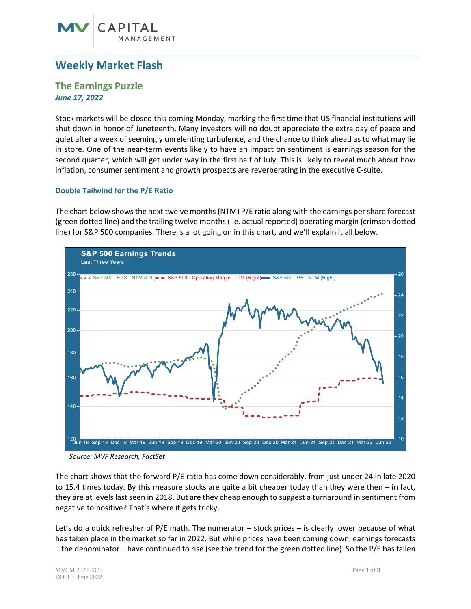# **Weekly Market Flash**

 $\cap$ APITAI

# **The Earnings Puzzle** *June 17, 2022*

Stock markets will be closed this coming Monday, marking the first time that US financial institutions will shut down in honor of Juneteenth. Many investors will no doubt appreciate the extra day of peace and quiet after a week of seemingly unrelenting turbulence, and the chance to think ahead as to what may lie in store. One of the near-term events likely to have an impact on sentiment is earnings season for the second quarter, which will get under way in the first half of July. This is likely to reveal much about how inflation, consumer sentiment and growth prospects are reverberating in the executive C-suite.

## **Double Tailwind for the P/E Ratio**

The chart below shows the next twelve months(NTM) P/E ratio along with the earnings per share forecast (green dotted line) and the trailing twelve months (i.e. actual reported) operating margin (crimson dotted line) for S&P 500 companies. There is a lot going on in this chart, and we'll explain it all below.



*Source: MVF Research, FactSet*

The chart shows that the forward P/E ratio has come down considerably, from just under 24 in late 2020 to 15.4 times today. By this measure stocks are quite a bit cheaper today than they were then – in fact, they are at levels last seen in 2018. But are they cheap enough to suggest a turnaround in sentiment from negative to positive? That's where it gets tricky.

Let's do a quick refresher of P/E math. The numerator – stock prices – is clearly lower because of what has taken place in the market so far in 2022. But while prices have been coming down, earnings forecasts – the denominator – have continued to rise (see the trend for the green dotted line). So the P/E has fallen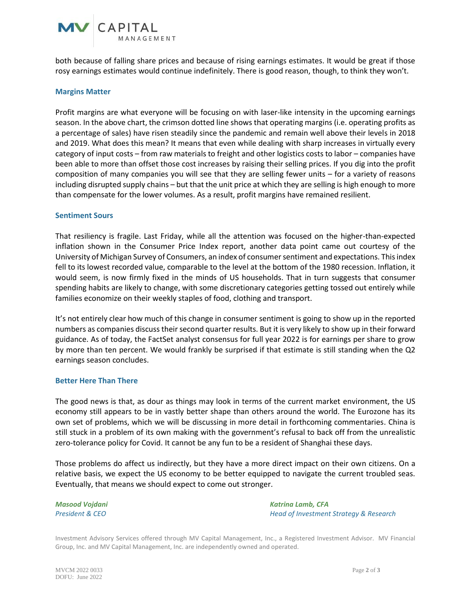

both because of falling share prices and because of rising earnings estimates. It would be great if those rosy earnings estimates would continue indefinitely. There is good reason, though, to think they won't.

#### **Margins Matter**

Profit margins are what everyone will be focusing on with laser-like intensity in the upcoming earnings season. In the above chart, the crimson dotted line shows that operating margins (i.e. operating profits as a percentage of sales) have risen steadily since the pandemic and remain well above their levels in 2018 and 2019. What does this mean? It means that even while dealing with sharp increases in virtually every category of input costs – from raw materials to freight and other logistics costs to labor – companies have been able to more than offset those cost increases by raising their selling prices. If you dig into the profit composition of many companies you will see that they are selling fewer units – for a variety of reasons including disrupted supply chains – but that the unit price at which they are selling is high enough to more than compensate for the lower volumes. As a result, profit margins have remained resilient.

#### **Sentiment Sours**

That resiliency is fragile. Last Friday, while all the attention was focused on the higher-than-expected inflation shown in the Consumer Price Index report, another data point came out courtesy of the University of Michigan Survey of Consumers, an index of consumer sentiment and expectations. This index fell to its lowest recorded value, comparable to the level at the bottom of the 1980 recession. Inflation, it would seem, is now firmly fixed in the minds of US households. That in turn suggests that consumer spending habits are likely to change, with some discretionary categories getting tossed out entirely while families economize on their weekly staples of food, clothing and transport.

It's not entirely clear how much of this change in consumer sentiment is going to show up in the reported numbers as companies discuss their second quarter results. But it is very likely to show up in their forward guidance. As of today, the FactSet analyst consensus for full year 2022 is for earnings per share to grow by more than ten percent. We would frankly be surprised if that estimate is still standing when the Q2 earnings season concludes.

### **Better Here Than There**

The good news is that, as dour as things may look in terms of the current market environment, the US economy still appears to be in vastly better shape than others around the world. The Eurozone has its own set of problems, which we will be discussing in more detail in forthcoming commentaries. China is still stuck in a problem of its own making with the government's refusal to back off from the unrealistic zero-tolerance policy for Covid. It cannot be any fun to be a resident of Shanghai these days.

Those problems do affect us indirectly, but they have a more direct impact on their own citizens. On a relative basis, we expect the US economy to be better equipped to navigate the current troubled seas. Eventually, that means we should expect to come out stronger.

*Masood Vojdani Katrina Lamb, CFA President & CEO Head of Investment Strategy & Research*

Investment Advisory Services offered through MV Capital Management, Inc., a Registered Investment Advisor. MV Financial Group, Inc. and MV Capital Management, Inc. are independently owned and operated.